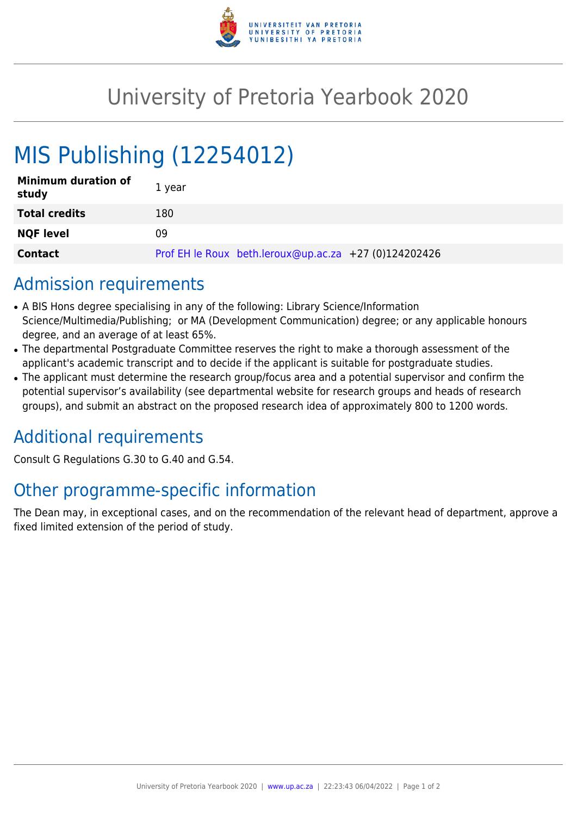

## University of Pretoria Yearbook 2020

# MIS Publishing (12254012)

| <b>Minimum duration of</b><br>study | 1 year                                                |
|-------------------------------------|-------------------------------------------------------|
| <b>Total credits</b>                | 180                                                   |
| <b>NQF level</b>                    | 09                                                    |
| <b>Contact</b>                      | Prof EH le Roux beth.leroux@up.ac.za +27 (0)124202426 |

### Admission requirements

- A BIS Hons degree specialising in any of the following: Library Science/Information Science/Multimedia/Publishing; or MA (Development Communication) degree; or any applicable honours degree, and an average of at least 65%.
- The departmental Postgraduate Committee reserves the right to make a thorough assessment of the applicant's academic transcript and to decide if the applicant is suitable for postgraduate studies.
- The applicant must determine the research group/focus area and a potential supervisor and confirm the potential supervisor's availability (see departmental website for research groups and heads of research groups), and submit an abstract on the proposed research idea of approximately 800 to 1200 words.

### Additional requirements

Consult G Regulations G.30 to G.40 and G.54.

### Other programme-specific information

The Dean may, in exceptional cases, and on the recommendation of the relevant head of department, approve a fixed limited extension of the period of study.